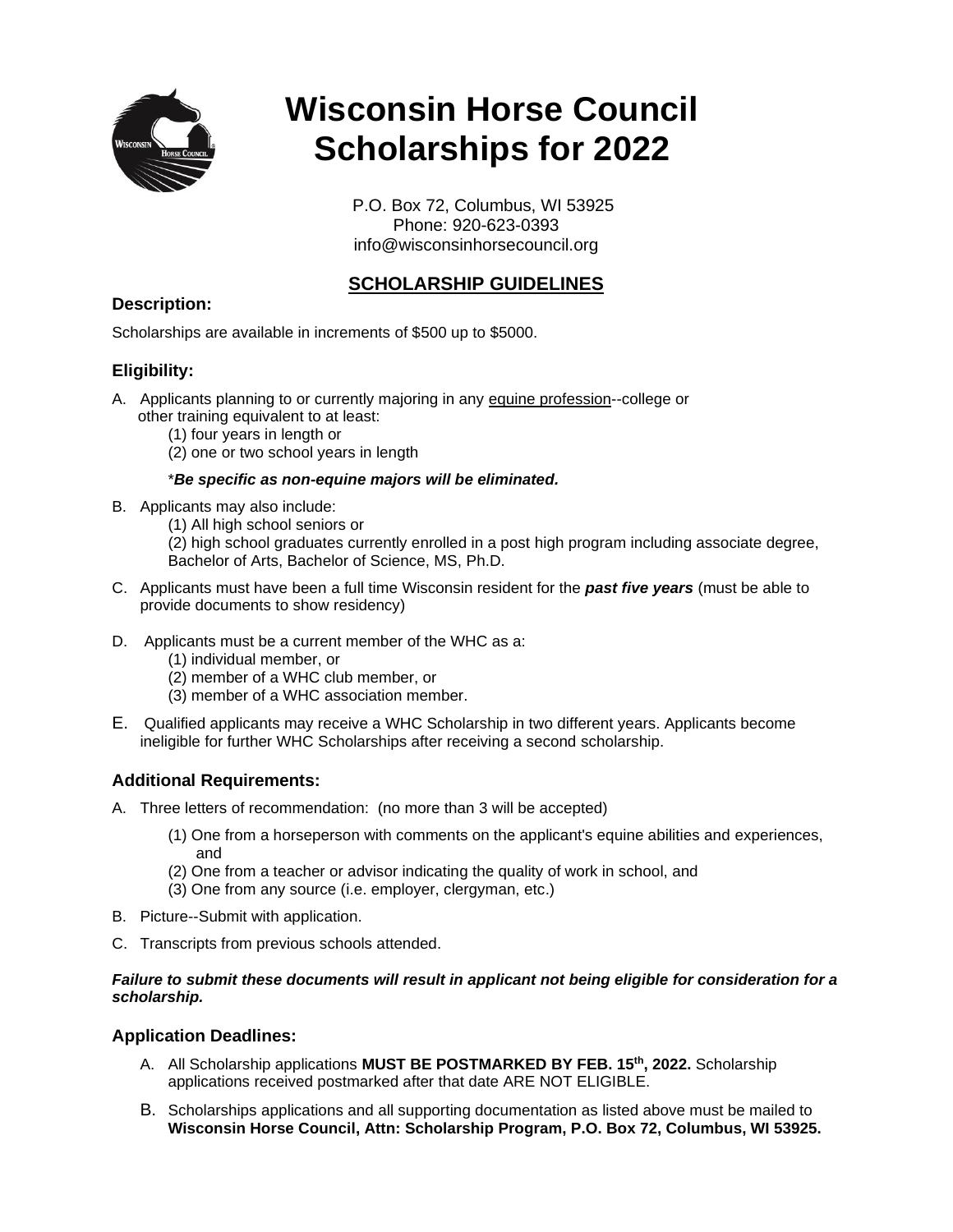

# **Wisconsin Horse Council Scholarships for 2022**

 P.O. Box 72, Columbus, WI 53925 Phone: 920-623-0393 info@wisconsinhorsecouncil.org

# **SCHOLARSHIP GUIDELINES**

## **Description:**

Scholarships are available in increments of \$500 up to \$5000.

# **Eligibility:**

- A. Applicants planning to or currently majoring in any equine profession--college or other training equivalent to at least:
	- (1) four years in length or
	- (2) one or two school years in length

#### \**Be specific as non-equine majors will be eliminated.*

- B. Applicants may also include:
	- (1) All high school seniors or

(2) high school graduates currently enrolled in a post high program including associate degree, Bachelor of Arts, Bachelor of Science, MS, Ph.D.

- C. Applicants must have been a full time Wisconsin resident for the *past five years* (must be able to provide documents to show residency)
- D. Applicants must be a current member of the WHC as a:
	- (1) individual member, or
	- (2) member of a WHC club member, or
	- (3) member of a WHC association member.
- E. Qualified applicants may receive a WHC Scholarship in two different years. Applicants become ineligible for further WHC Scholarships after receiving a second scholarship.

# **Additional Requirements:**

- A. Three letters of recommendation: (no more than 3 will be accepted)
	- (1) One from a horseperson with comments on the applicant's equine abilities and experiences, and
	- (2) One from a teacher or advisor indicating the quality of work in school, and
	- (3) One from any source (i.e. employer, clergyman, etc.)
- B. Picture--Submit with application.
- C. Transcripts from previous schools attended.

#### *Failure to submit these documents will result in applicant not being eligible for consideration for a scholarship.*

#### **Application Deadlines:**

- A. All Scholarship applications **MUST BE POSTMARKED BY FEB. 15th, 2022.** Scholarship applications received postmarked after that date ARE NOT ELIGIBLE.
- B. Scholarships applications and all supporting documentation as listed above must be mailed to **Wisconsin Horse Council, Attn: Scholarship Program, P.O. Box 72, Columbus, WI 53925.**